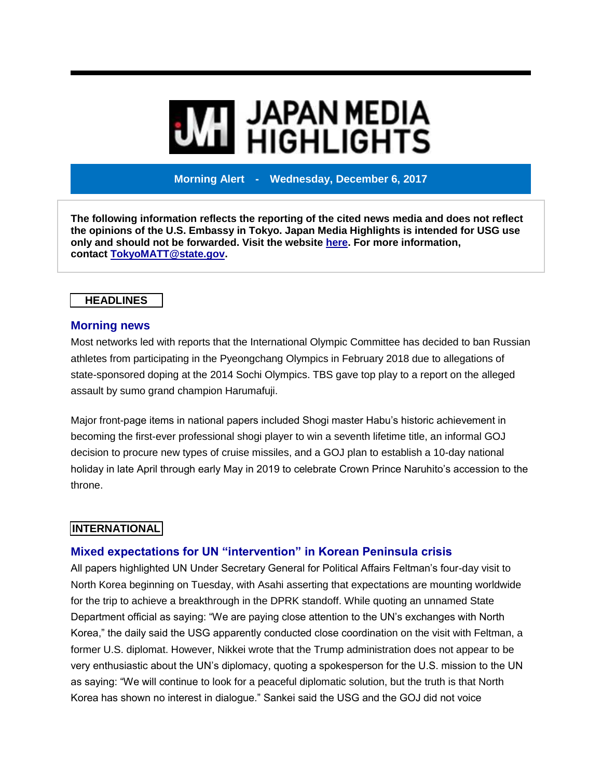# **MI JAPAN MEDIA<br>MI HIGHLIGHTS**

**Morning Alert - Wednesday, December 6, 2017**

**The following information reflects the reporting of the cited news media and does not reflect the opinions of the U.S. Embassy in Tokyo. Japan Media Highlights is intended for USG use only and should not be forwarded. Visit the website [here.](https://jmh.usembassy.gov/) For more information, contact [TokyoMATT@state.gov.](mailto:TokyoMATT@state.gov)**

## **HEADLINES**

## **Morning news**

Most networks led with reports that the International Olympic Committee has decided to ban Russian athletes from participating in the Pyeongchang Olympics in February 2018 due to allegations of state-sponsored doping at the 2014 Sochi Olympics. TBS gave top play to a report on the alleged assault by sumo grand champion Harumafuji.

Major front-page items in national papers included Shogi master Habu's historic achievement in becoming the first-ever professional shogi player to win a seventh lifetime title, an informal GOJ decision to procure new types of cruise missiles, and a GOJ plan to establish a 10-day national holiday in late April through early May in 2019 to celebrate Crown Prince Naruhito's accession to the throne.

# **INTERNATIONAL**

# **Mixed expectations for UN "intervention" in Korean Peninsula crisis**

All papers highlighted UN Under Secretary General for Political Affairs Feltman's four-day visit to North Korea beginning on Tuesday, with Asahi asserting that expectations are mounting worldwide for the trip to achieve a breakthrough in the DPRK standoff. While quoting an unnamed State Department official as saying: "We are paying close attention to the UN's exchanges with North Korea," the daily said the USG apparently conducted close coordination on the visit with Feltman, a former U.S. diplomat. However, Nikkei wrote that the Trump administration does not appear to be very enthusiastic about the UN's diplomacy, quoting a spokesperson for the U.S. mission to the UN as saying: "We will continue to look for a peaceful diplomatic solution, but the truth is that North Korea has shown no interest in dialogue." Sankei said the USG and the GOJ did not voice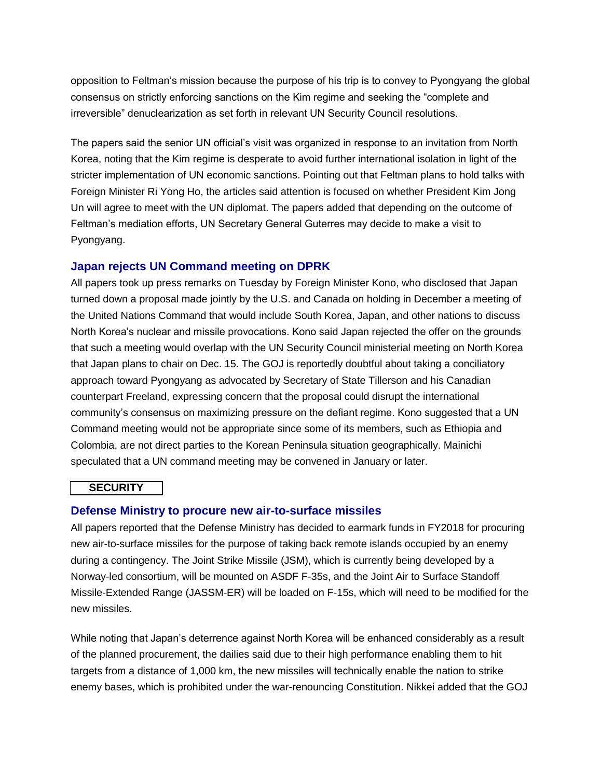opposition to Feltman's mission because the purpose of his trip is to convey to Pyongyang the global consensus on strictly enforcing sanctions on the Kim regime and seeking the "complete and irreversible" denuclearization as set forth in relevant UN Security Council resolutions.

The papers said the senior UN official's visit was organized in response to an invitation from North Korea, noting that the Kim regime is desperate to avoid further international isolation in light of the stricter implementation of UN economic sanctions. Pointing out that Feltman plans to hold talks with Foreign Minister Ri Yong Ho, the articles said attention is focused on whether President Kim Jong Un will agree to meet with the UN diplomat. The papers added that depending on the outcome of Feltman's mediation efforts, UN Secretary General Guterres may decide to make a visit to Pyongyang.

## **Japan rejects UN Command meeting on DPRK**

All papers took up press remarks on Tuesday by Foreign Minister Kono, who disclosed that Japan turned down a proposal made jointly by the U.S. and Canada on holding in December a meeting of the United Nations Command that would include South Korea, Japan, and other nations to discuss North Korea's nuclear and missile provocations. Kono said Japan rejected the offer on the grounds that such a meeting would overlap with the UN Security Council ministerial meeting on North Korea that Japan plans to chair on Dec. 15. The GOJ is reportedly doubtful about taking a conciliatory approach toward Pyongyang as advocated by Secretary of State Tillerson and his Canadian counterpart Freeland, expressing concern that the proposal could disrupt the international community's consensus on maximizing pressure on the defiant regime. Kono suggested that a UN Command meeting would not be appropriate since some of its members, such as Ethiopia and Colombia, are not direct parties to the Korean Peninsula situation geographically. Mainichi speculated that a UN command meeting may be convened in January or later.

#### **SECURITY**

## **Defense Ministry to procure new air-to-surface missiles**

All papers reported that the Defense Ministry has decided to earmark funds in FY2018 for procuring new air-to-surface missiles for the purpose of taking back remote islands occupied by an enemy during a contingency. The Joint Strike Missile (JSM), which is currently being developed by a Norway-led consortium, will be mounted on ASDF F-35s, and the Joint Air to Surface Standoff Missile-Extended Range (JASSM-ER) will be loaded on F-15s, which will need to be modified for the new missiles.

While noting that Japan's deterrence against North Korea will be enhanced considerably as a result of the planned procurement, the dailies said due to their high performance enabling them to hit targets from a distance of 1,000 km, the new missiles will technically enable the nation to strike enemy bases, which is prohibited under the war-renouncing Constitution. Nikkei added that the GOJ